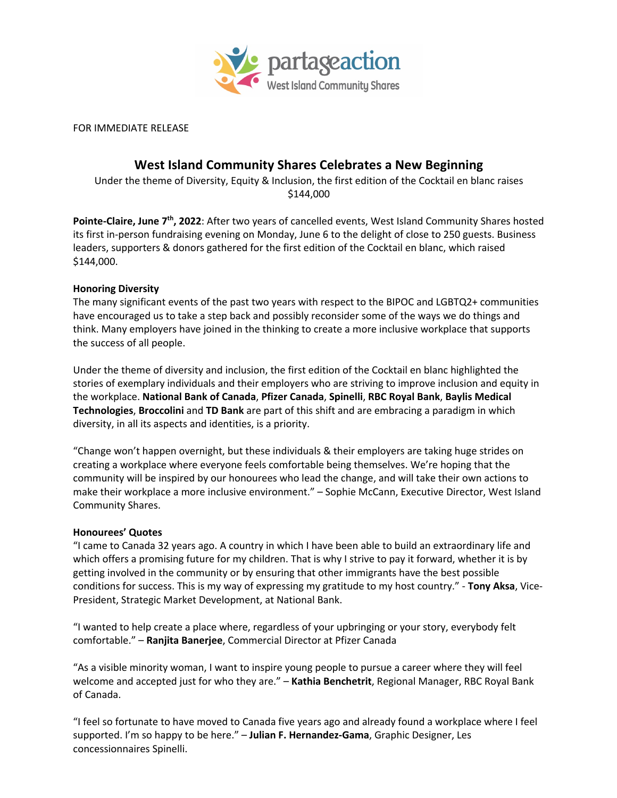

FOR IMMEDIATE RELEASE

# **West Island Community Shares Celebrates a New Beginning**

Under the theme of Diversity, Equity & Inclusion, the first edition of the Cocktail en blanc raises \$144,000

Pointe-Claire, June 7<sup>th</sup>, 2022: After two years of cancelled events, West Island Community Shares hosted its first in-person fundraising evening on Monday, June 6 to the delight of close to 250 guests. Business leaders, supporters & donors gathered for the first edition of the Cocktail en blanc, which raised \$144,000.

#### **Honoring Diversity**

The many significant events of the past two years with respect to the BIPOC and LGBTQ2+ communities have encouraged us to take a step back and possibly reconsider some of the ways we do things and think. Many employers have joined in the thinking to create a more inclusive workplace that supports the success of all people.

Under the theme of diversity and inclusion, the first edition of the Cocktail en blanc highlighted the stories of exemplary individuals and their employers who are striving to improve inclusion and equity in the workplace. **National Bank of Canada**, **Pfizer Canada**, **Spinelli**, **RBC Royal Bank**, **Baylis Medical Technologies**, **Broccolini** and **TD Bank** are part of this shift and are embracing a paradigm in which diversity, in all its aspects and identities, is a priority.

"Change won't happen overnight, but these individuals & their employers are taking huge strides on creating a workplace where everyone feels comfortable being themselves. We're hoping that the community will be inspired by our honourees who lead the change, and will take their own actions to make their workplace a more inclusive environment." – Sophie McCann, Executive Director, West Island Community Shares.

#### **Honourees' Quotes**

"I came to Canada 32 years ago. A country in which I have been able to build an extraordinary life and which offers a promising future for my children. That is why I strive to pay it forward, whether it is by getting involved in the community or by ensuring that other immigrants have the best possible conditions for success. This is my way of expressing my gratitude to my host country." - **Tony Aksa**, Vice-President, Strategic Market Development, at National Bank.

"I wanted to help create a place where, regardless of your upbringing or your story, everybody felt comfortable." – **Ranjita Banerjee**, Commercial Director at Pfizer Canada

"As a visible minority woman, I want to inspire young people to pursue a career where they will feel welcome and accepted just for who they are." – **Kathia Benchetrit**, Regional Manager, RBC Royal Bank of Canada.

"I feel so fortunate to have moved to Canada five years ago and already found a workplace where I feel supported. I'm so happy to be here." – **Julian F. Hernandez-Gama**, Graphic Designer, Les concessionnaires Spinelli.